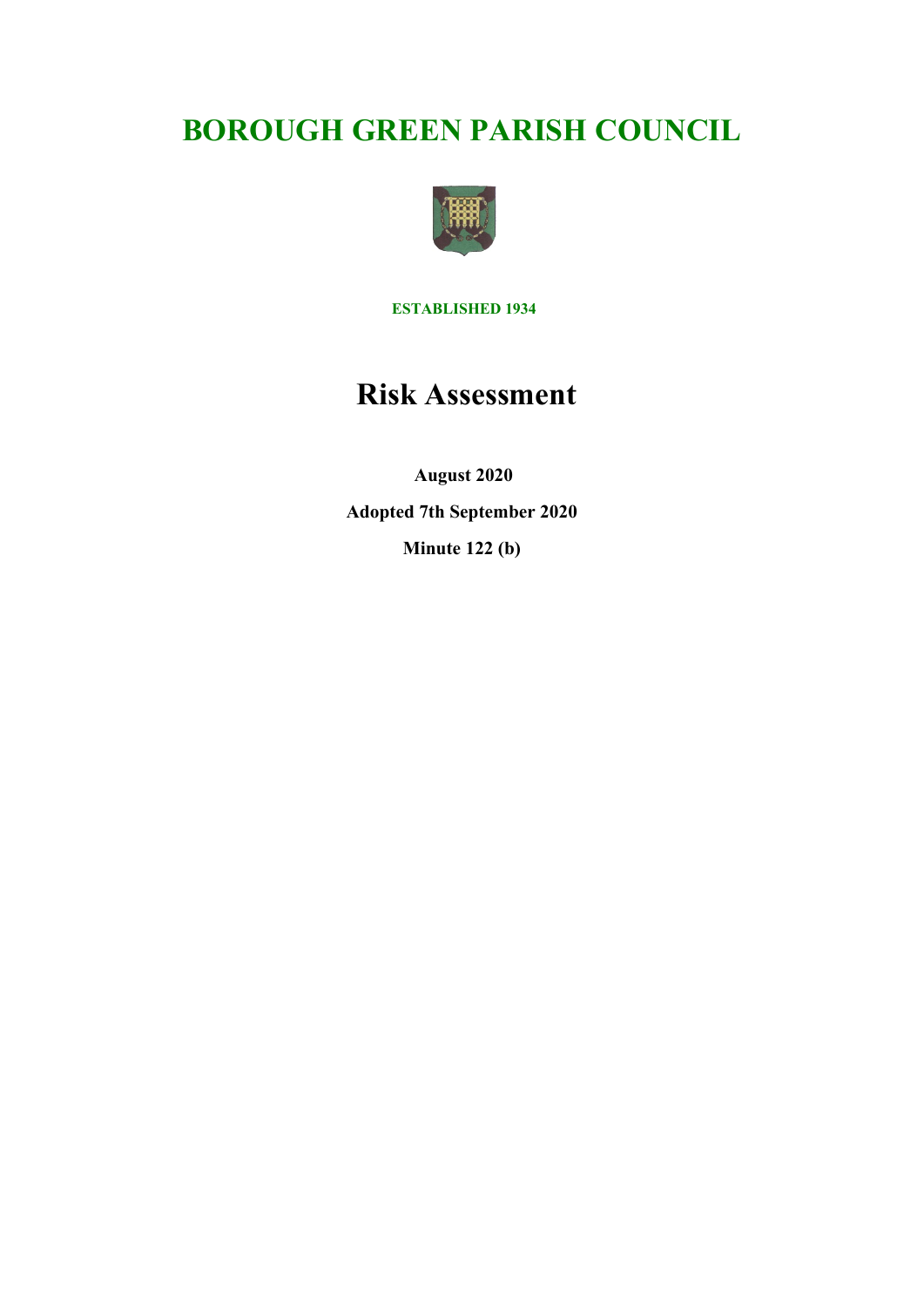# **BOROUGH GREEN PARISH COUNCIL**



**ESTABLISHED 1934**

# **Risk Assessment**

 **August 2020 Adopted 7th September 2020 Minute 122 (b)**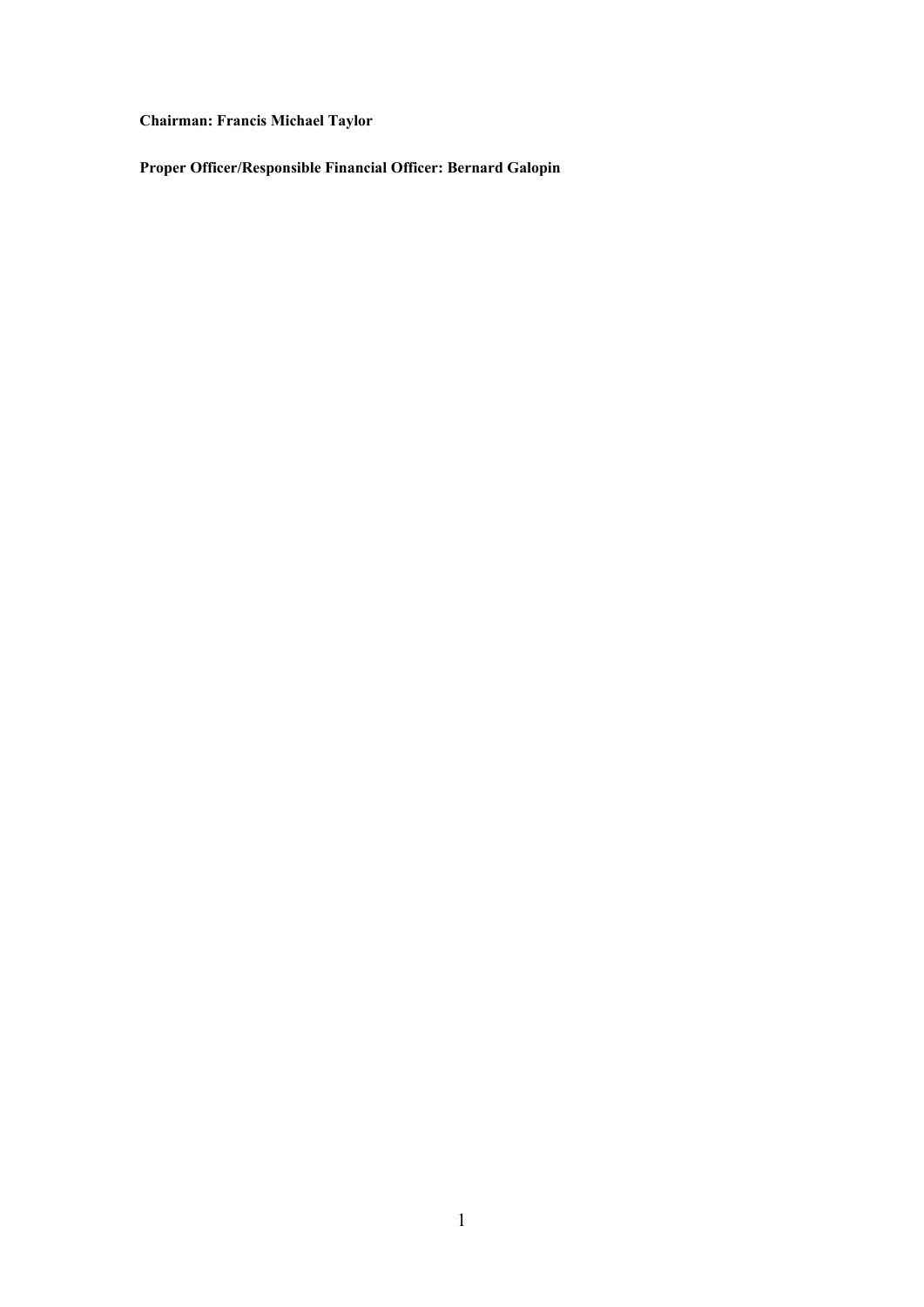# **Chairman: Francis Michael Taylor**

**Proper Officer/Responsible Financial Officer: Bernard Galopin**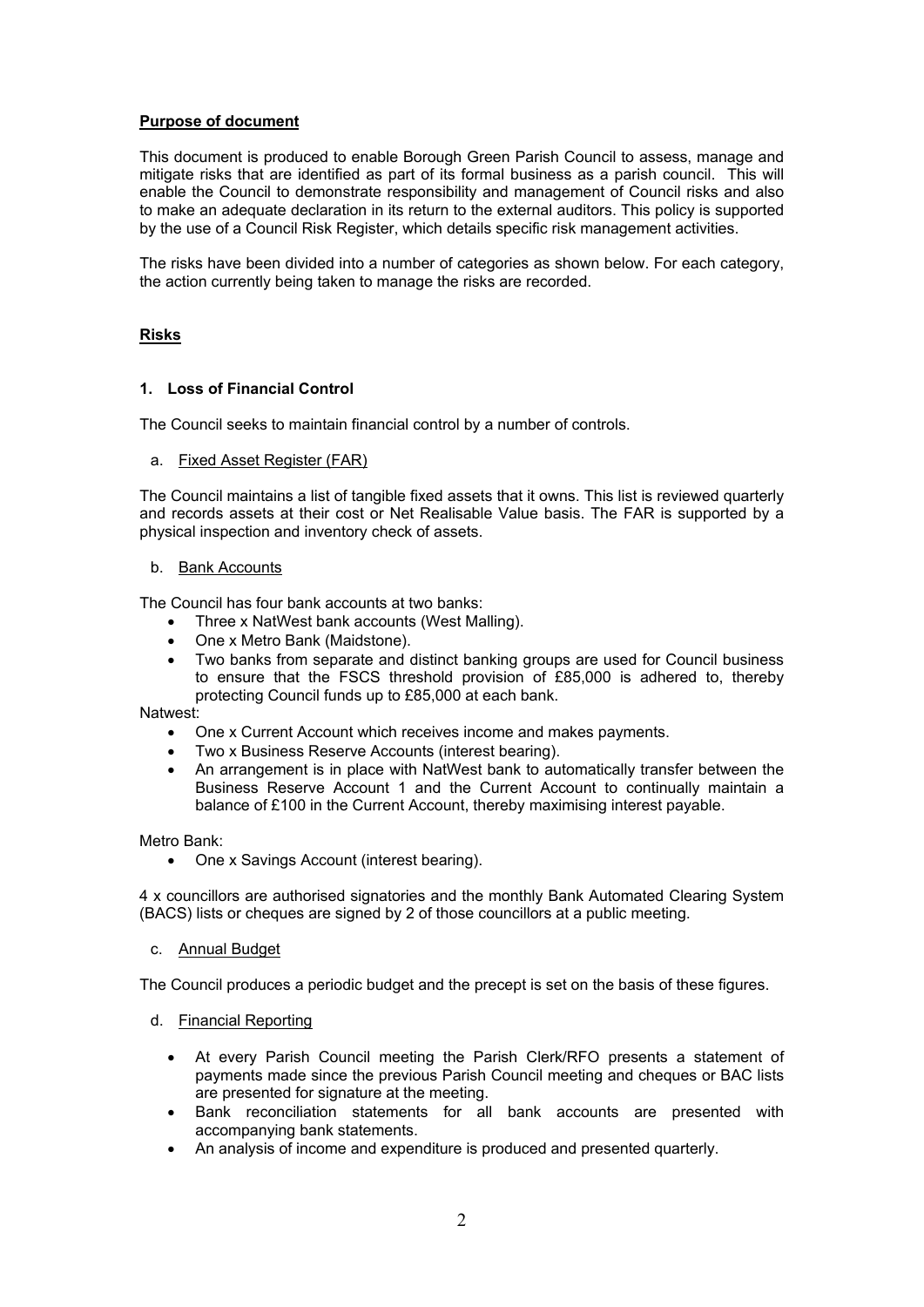## **Purpose of document**

This document is produced to enable Borough Green Parish Council to assess, manage and mitigate risks that are identified as part of its formal business as a parish council. This will enable the Council to demonstrate responsibility and management of Council risks and also to make an adequate declaration in its return to the external auditors. This policy is supported by the use of a Council Risk Register, which details specific risk management activities.

The risks have been divided into a number of categories as shown below. For each category, the action currently being taken to manage the risks are recorded.

#### **Risks**

#### **1. Loss of Financial Control**

The Council seeks to maintain financial control by a number of controls.

#### a. Fixed Asset Register (FAR)

The Council maintains a list of tangible fixed assets that it owns. This list is reviewed quarterly and records assets at their cost or Net Realisable Value basis. The FAR is supported by a physical inspection and inventory check of assets.

#### b. Bank Accounts

The Council has four bank accounts at two banks:

- Three x NatWest bank accounts (West Malling).
- One x Metro Bank (Maidstone).
- Two banks from separate and distinct banking groups are used for Council business to ensure that the FSCS threshold provision of £85,000 is adhered to, thereby protecting Council funds up to £85,000 at each bank.

#### Natwest:

- One x Current Account which receives income and makes payments.
- Two x Business Reserve Accounts (interest bearing).
- An arrangement is in place with NatWest bank to automatically transfer between the Business Reserve Account 1 and the Current Account to continually maintain a balance of £100 in the Current Account, thereby maximising interest payable.

Metro Bank:

• One x Savings Account (interest bearing).

4 x councillors are authorised signatories and the monthly Bank Automated Clearing System (BACS) lists or cheques are signed by 2 of those councillors at a public meeting.

#### c. Annual Budget

The Council produces a periodic budget and the precept is set on the basis of these figures.

- d. Financial Reporting
	- At every Parish Council meeting the Parish Clerk/RFO presents a statement of payments made since the previous Parish Council meeting and cheques or BAC lists are presented for signature at the meeting.
	- Bank reconciliation statements for all bank accounts are presented with accompanying bank statements.
	- An analysis of income and expenditure is produced and presented quarterly.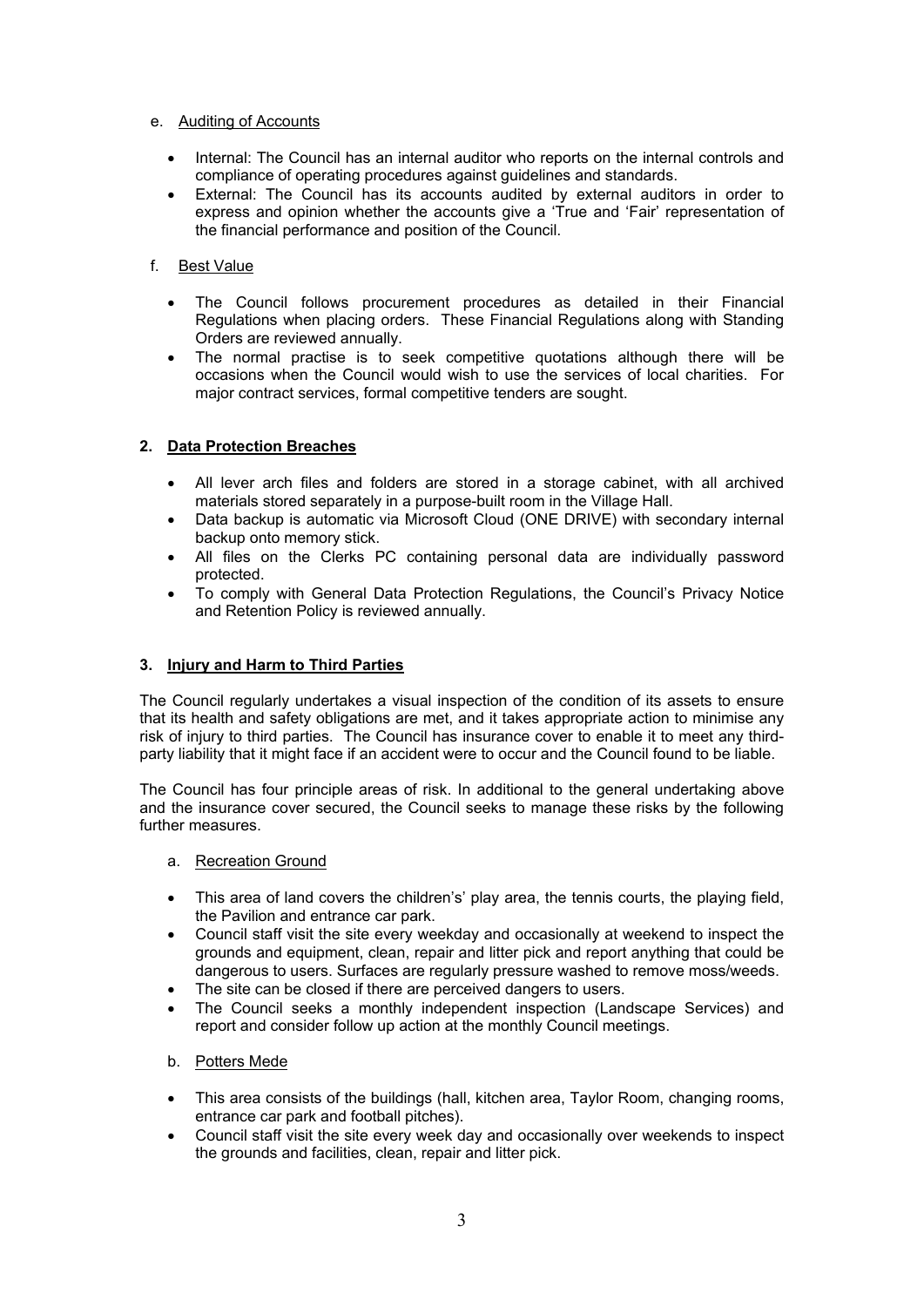## e. Auditing of Accounts

- Internal: The Council has an internal auditor who reports on the internal controls and compliance of operating procedures against guidelines and standards.
- External: The Council has its accounts audited by external auditors in order to express and opinion whether the accounts give a 'True and 'Fair' representation of the financial performance and position of the Council.

# f. Best Value

- The Council follows procurement procedures as detailed in their Financial Regulations when placing orders. These Financial Regulations along with Standing Orders are reviewed annually.
- The normal practise is to seek competitive quotations although there will be occasions when the Council would wish to use the services of local charities. For major contract services, formal competitive tenders are sought.

# **2. Data Protection Breaches**

- All lever arch files and folders are stored in a storage cabinet, with all archived materials stored separately in a purpose-built room in the Village Hall.
- Data backup is automatic via Microsoft Cloud (ONE DRIVE) with secondary internal backup onto memory stick.
- All files on the Clerks PC containing personal data are individually password protected.
- To comply with General Data Protection Regulations, the Council's Privacy Notice and Retention Policy is reviewed annually.

# **3. Injury and Harm to Third Parties**

The Council regularly undertakes a visual inspection of the condition of its assets to ensure that its health and safety obligations are met, and it takes appropriate action to minimise any risk of injury to third parties. The Council has insurance cover to enable it to meet any thirdparty liability that it might face if an accident were to occur and the Council found to be liable.

The Council has four principle areas of risk. In additional to the general undertaking above and the insurance cover secured, the Council seeks to manage these risks by the following further measures.

# a. Recreation Ground

- This area of land covers the children's' play area, the tennis courts, the playing field, the Pavilion and entrance car park.
- Council staff visit the site every weekday and occasionally at weekend to inspect the grounds and equipment, clean, repair and litter pick and report anything that could be dangerous to users. Surfaces are regularly pressure washed to remove moss/weeds.
- The site can be closed if there are perceived dangers to users.
- The Council seeks a monthly independent inspection (Landscape Services) and report and consider follow up action at the monthly Council meetings.

# b. Potters Mede

- This area consists of the buildings (hall, kitchen area, Taylor Room, changing rooms, entrance car park and football pitches).
- Council staff visit the site every week day and occasionally over weekends to inspect the grounds and facilities, clean, repair and litter pick.